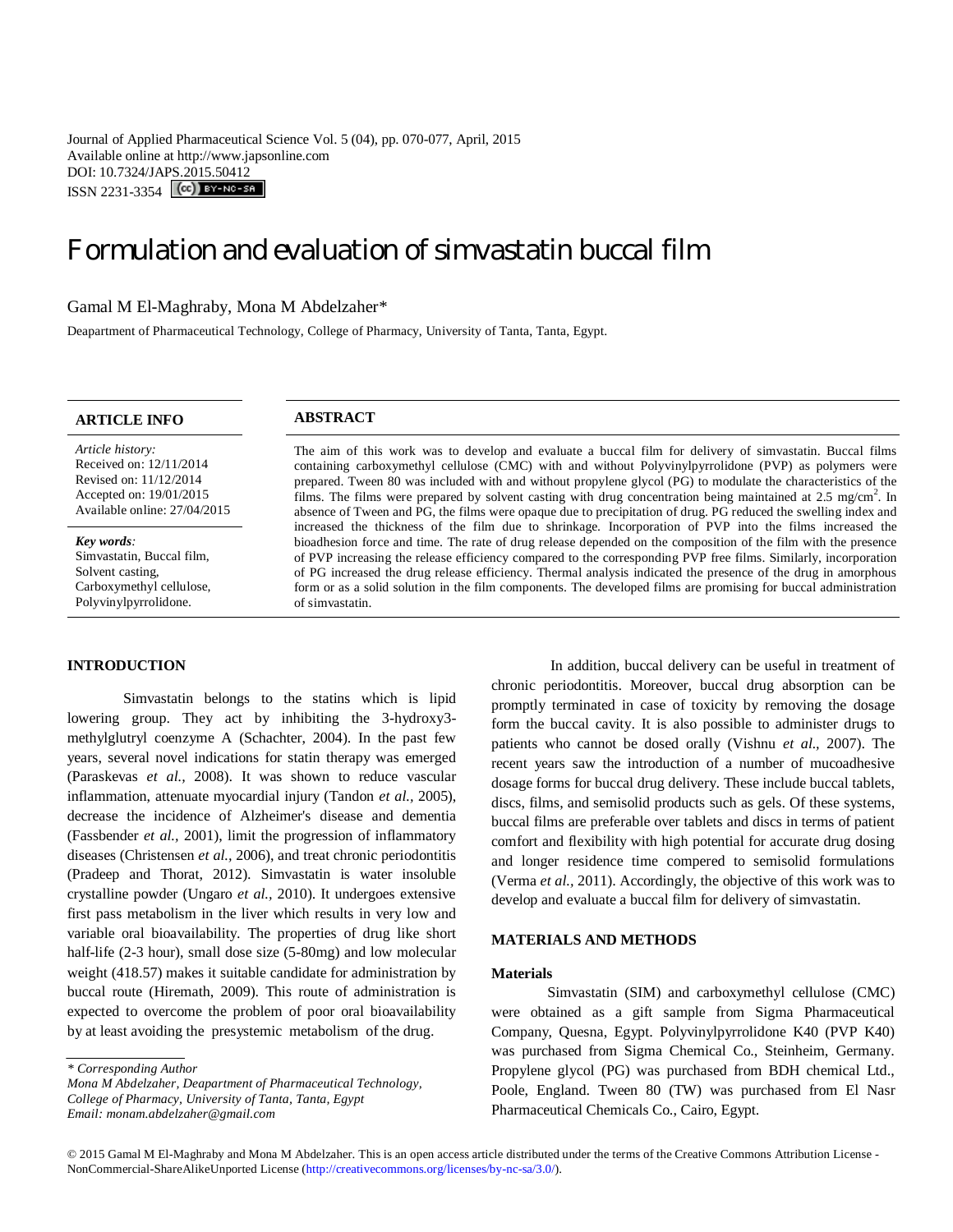Journal of Applied Pharmaceutical Science Vol. 5 (04), pp. 070-077, April, 2015 Available online at http://www.japsonline.com DOI: 10.7324/JAPS.2015.50412 ISSN 2231-3354 (CC) BY-NO-SA

# Formulation and evaluation of simvastatin buccal film

## Gamal M El-Maghraby, Mona M Abdelzaher\*

Deapartment of Pharmaceutical Technology, College of Pharmacy, University of Tanta, Tanta, Egypt.

## **ARTICLE INFO ABSTRACT**

*Article history:* Received on: 12/11/2014 Revised on: 11/12/2014 Accepted on: 19/01/2015 Available online: 27/04/2015

*Key words:*  Simvastatin, Buccal film, Solvent casting, Carboxymethyl cellulose, Polyvinylpyrrolidone.

## **INTRODUCTION**

Simvastatin belongs to the statins which is lipid lowering group. They act by inhibiting the 3-hydroxy3 methylglutryl coenzyme A (Schachter, 2004). In the past few years, several novel indications for statin therapy was emerged (Paraskevas *et al.,* 2008). It was shown to reduce vascular inflammation, attenuate myocardial injury (Tandon *et al.,* 2005), decrease the incidence of Alzheimer's disease and dementia (Fassbender *et al.,* 2001), limit the progression of inflammatory diseases (Christensen *et al.,* 2006), and treat chronic periodontitis (Pradeep and Thorat, 2012). Simvastatin is water insoluble crystalline powder (Ungaro *et al.,* 2010). It undergoes extensive first pass metabolism in the liver which results in very low and variable oral bioavailability. The properties of drug like short half-life (2-3 hour), small dose size (5-80mg) and low molecular weight (418.57) makes it suitable candidate for administration by buccal route (Hiremath, 2009). This route of administration is expected to overcome the problem of poor oral bioavailability by at least avoiding the presystemic metabolism of the drug.

The aim of this work was to develop and evaluate a buccal film for delivery of simvastatin. Buccal films containing carboxymethyl cellulose (CMC) with and without Polyvinylpyrrolidone (PVP) as polymers were prepared. Tween 80 was included with and without propylene glycol (PG) to modulate the characteristics of the films. The films were prepared by solvent casting with drug concentration being maintained at 2.5 mg/cm<sup>2</sup>. In absence of Tween and PG, the films were opaque due to precipitation of drug. PG reduced the swelling index and increased the thickness of the film due to shrinkage. Incorporation of PVP into the films increased the bioadhesion force and time. The rate of drug release depended on the composition of the film with the presence of PVP increasing the release efficiency compared to the corresponding PVP free films. Similarly, incorporation of PG increased the drug release efficiency. Thermal analysis indicated the presence of the drug in amorphous form or as a solid solution in the film components. The developed films are promising for buccal administration of simvastatin.

> In addition, buccal delivery can be useful in treatment of chronic periodontitis. Moreover, buccal drug absorption can be promptly terminated in case of toxicity by removing the dosage form the buccal cavity. It is also possible to administer drugs to patients who cannot be dosed orally (Vishnu *et al.,* 2007). The recent years saw the introduction of a number of mucoadhesive dosage forms for buccal drug delivery. These include buccal tablets, discs, films, and semisolid products such as gels. Of these systems, buccal films are preferable over tablets and discs in terms of patient comfort and flexibility with high potential for accurate drug dosing and longer residence time compered to semisolid formulations (Verma *et al.,* 2011). Accordingly, the objective of this work was to develop and evaluate a buccal film for delivery of simvastatin.

### **MATERIALS AND METHODS**

#### **Materials**

Simvastatin (SIM) and carboxymethyl cellulose (CMC) were obtained as a gift sample from Sigma Pharmaceutical Company, Quesna, Egypt. Polyvinylpyrrolidone K40 (PVP K40) was purchased from Sigma Chemical Co., Steinheim, Germany. Propylene glycol (PG) was purchased from BDH chemical Ltd., Poole, England. Tween 80 (TW) was purchased from El Nasr Pharmaceutical Chemicals Co., Cairo, Egypt.

*<sup>\*</sup> Corresponding Author*

*Mona M Abdelzaher, Deapartment of Pharmaceutical Technology, College of Pharmacy, University of Tanta, Tanta, Egypt Email: monam.abdelzaher@gmail.com*

<sup>© 2015</sup> Gamal M El-Maghraby and Mona M Abdelzaher. This is an open access article distributed under the terms of the Creative Commons Attribution License - NonCommercial-ShareAlikeUnported License (http://creativecommons.org/licenses/by-nc-sa/3.0/).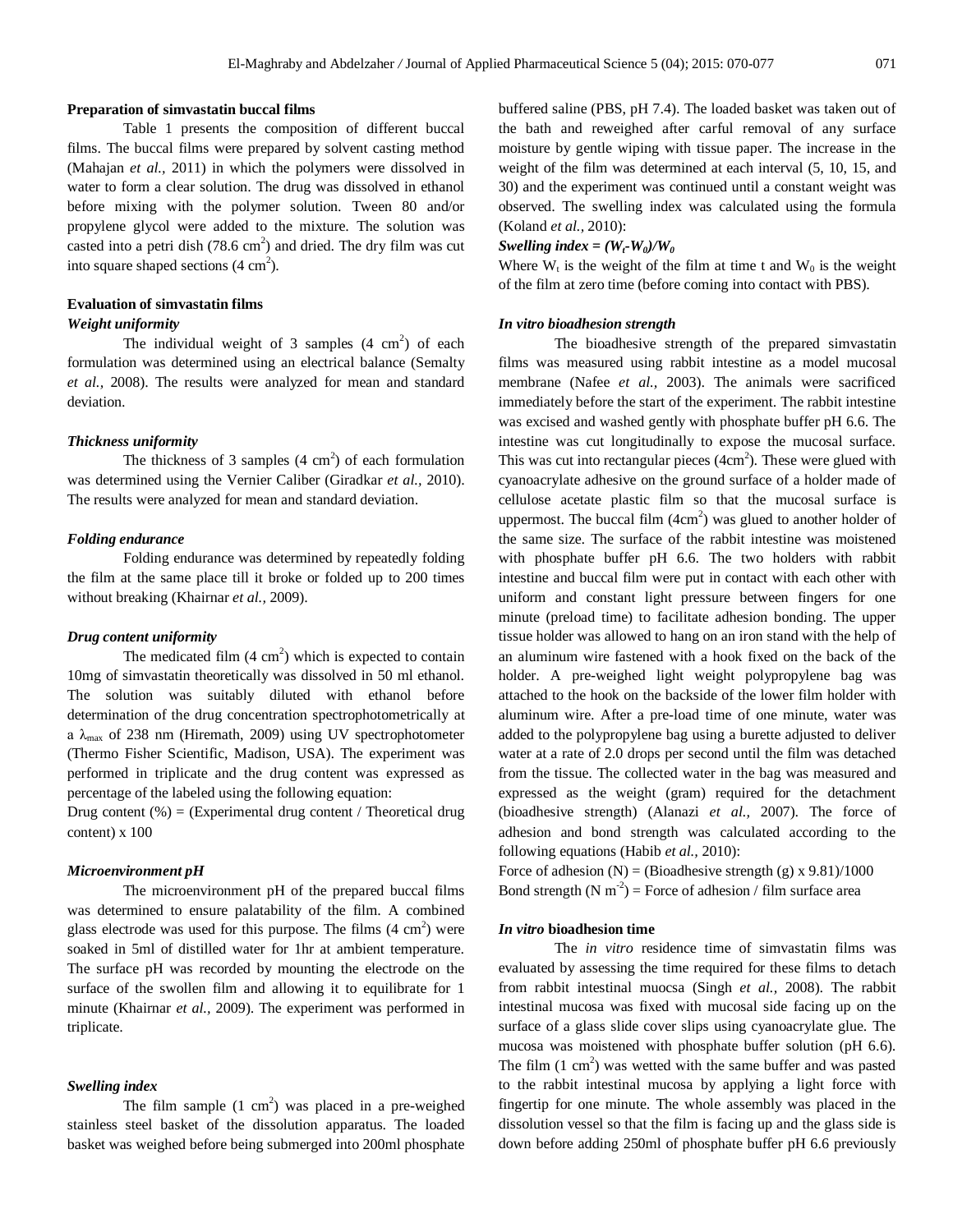#### **Preparation of simvastatin buccal films**

Table 1 presents the composition of different buccal films. The buccal films were prepared by solvent casting method (Mahajan *et al.,* 2011) in which the polymers were dissolved in water to form a clear solution. The drug was dissolved in ethanol before mixing with the polymer solution. Tween 80 and/or propylene glycol were added to the mixture. The solution was casted into a petri dish  $(78.6 \text{ cm}^2)$  and dried. The dry film was cut into square shaped sections  $(4 \text{ cm}^2)$ .

# **Evaluation of simvastatin films**

## *Weight uniformity*

The individual weight of 3 samples  $(4 \text{ cm}^2)$  of each formulation was determined using an electrical balance (Semalty *et al.,* 2008). The results were analyzed for mean and standard deviation.

#### *Thickness uniformity*

The thickness of 3 samples  $(4 \text{ cm}^2)$  of each formulation was determined using the Vernier Caliber (Giradkar *et al.,* 2010). The results were analyzed for mean and standard deviation.

#### *Folding endurance*

Folding endurance was determined by repeatedly folding the film at the same place till it broke or folded up to 200 times without breaking (Khairnar *et al.,* 2009).

#### *Drug content uniformity*

The medicated film  $(4 \text{ cm}^2)$  which is expected to contain 10mg of simvastatin theoretically was dissolved in 50 ml ethanol. The solution was suitably diluted with ethanol before determination of the drug concentration spectrophotometrically at a  $\lambda_{\text{max}}$  of 238 nm (Hiremath, 2009) using UV spectrophotometer (Thermo Fisher Scientific, Madison, USA). The experiment was performed in triplicate and the drug content was expressed as percentage of the labeled using the following equation:

Drug content  $(\%)$  = (Experimental drug content / Theoretical drug content) x 100

## *Microenvironment pH*

The microenvironment pH of the prepared buccal films was determined to ensure palatability of the film. A combined glass electrode was used for this purpose. The films  $(4 \text{ cm}^2)$  were soaked in 5ml of distilled water for 1hr at ambient temperature. The surface pH was recorded by mounting the electrode on the surface of the swollen film and allowing it to equilibrate for 1 minute (Khairnar *et al.,* 2009). The experiment was performed in triplicate.

#### *Swelling index*

The film sample  $(1 \text{ cm}^2)$  was placed in a pre-weighed stainless steel basket of the dissolution apparatus. The loaded basket was weighed before being submerged into 200ml phosphate

buffered saline (PBS, pH 7.4). The loaded basket was taken out of the bath and reweighed after carful removal of any surface moisture by gentle wiping with tissue paper. The increase in the weight of the film was determined at each interval (5, 10, 15, and 30) and the experiment was continued until a constant weight was observed. The swelling index was calculated using the formula (Koland *et al.,* 2010):

#### *Swelling index =*  $(W_t \cdot W_0)/W_0$

Where  $W_t$  is the weight of the film at time t and  $W_0$  is the weight of the film at zero time (before coming into contact with PBS).

#### *In vitro bioadhesion strength*

The bioadhesive strength of the prepared simvastatin films was measured using rabbit intestine as a model mucosal membrane (Nafee *et al.,* 2003). The animals were sacrificed immediately before the start of the experiment. The rabbit intestine was excised and washed gently with phosphate buffer pH 6.6. The intestine was cut longitudinally to expose the mucosal surface. This was cut into rectangular pieces  $(4cm<sup>2</sup>)$ . These were glued with cyanoacrylate adhesive on the ground surface of a holder made of cellulose acetate plastic film so that the mucosal surface is uppermost. The buccal film  $(4cm<sup>2</sup>)$  was glued to another holder of the same size. The surface of the rabbit intestine was moistened with phosphate buffer pH 6.6. The two holders with rabbit intestine and buccal film were put in contact with each other with uniform and constant light pressure between fingers for one minute (preload time) to facilitate adhesion bonding. The upper tissue holder was allowed to hang on an iron stand with the help of an aluminum wire fastened with a hook fixed on the back of the holder. A pre-weighed light weight polypropylene bag was attached to the hook on the backside of the lower film holder with aluminum wire. After a pre-load time of one minute, water was added to the polypropylene bag using a burette adjusted to deliver water at a rate of 2.0 drops per second until the film was detached from the tissue. The collected water in the bag was measured and expressed as the weight (gram) required for the detachment (bioadhesive strength) (Alanazi *et al.,* 2007). The force of adhesion and bond strength was calculated according to the following equations (Habib *et al.,* 2010):

Force of adhesion  $(N) = (Bioadhesive strength (g) x 9.81)/1000$ Bond strength  $(N \text{ m}^{-2})$  = Force of adhesion / film surface area

#### *In vitro* **bioadhesion time**

The *in vitro* residence time of simvastatin films was evaluated by assessing the time required for these films to detach from rabbit intestinal muocsa (Singh *et al.,* 2008). The rabbit intestinal mucosa was fixed with mucosal side facing up on the surface of a glass slide cover slips using cyanoacrylate glue. The mucosa was moistened with phosphate buffer solution (pH 6.6). The film  $(1 \text{ cm}^2)$  was wetted with the same buffer and was pasted to the rabbit intestinal mucosa by applying a light force with fingertip for one minute. The whole assembly was placed in the dissolution vessel so that the film is facing up and the glass side is down before adding 250ml of phosphate buffer pH 6.6 previously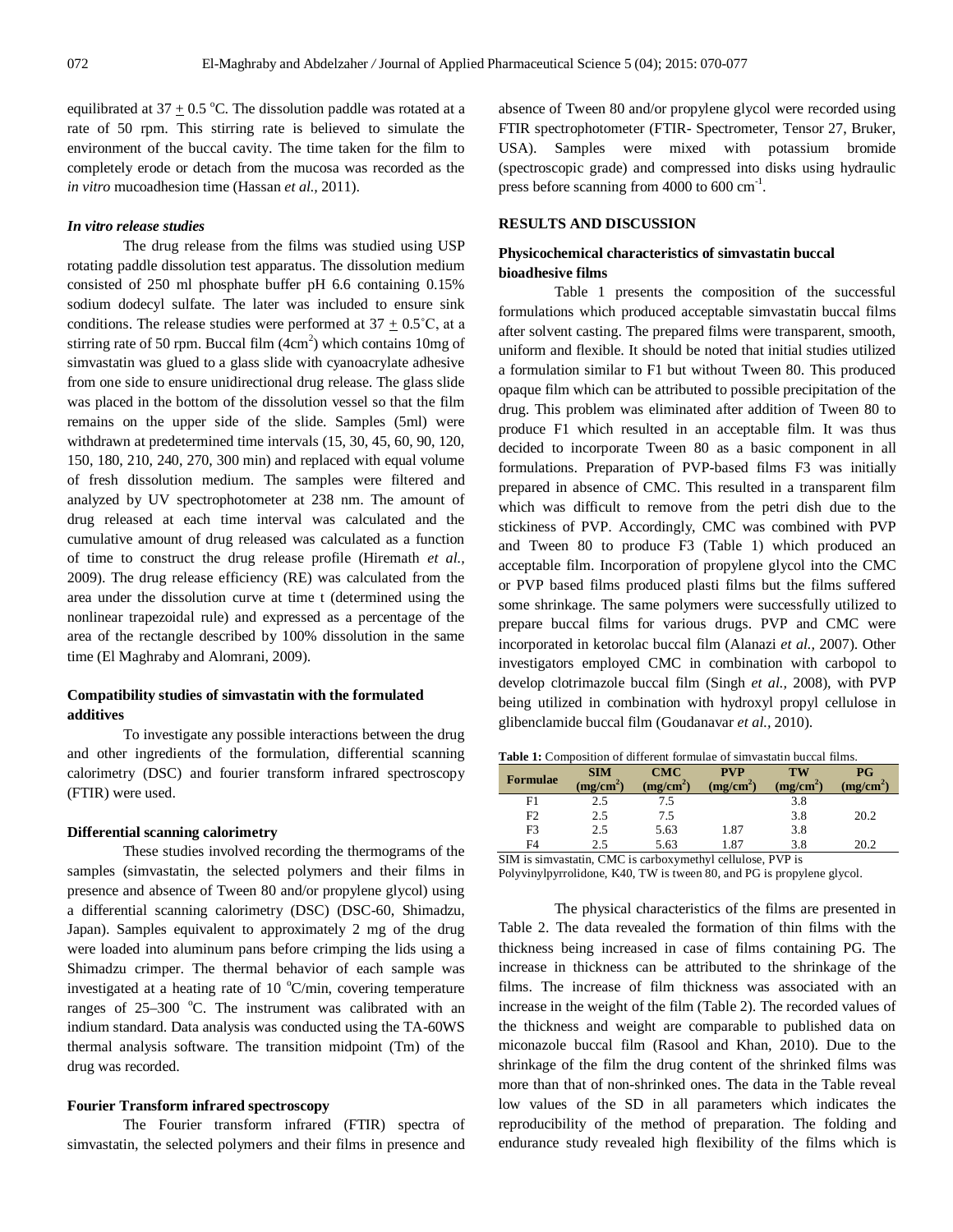equilibrated at 37  $\pm$  0.5 °C. The dissolution paddle was rotated at a rate of 50 rpm. This stirring rate is believed to simulate the environment of the buccal cavity. The time taken for the film to completely erode or detach from the mucosa was recorded as the *in vitro* mucoadhesion time (Hassan *et al.,* 2011).

#### *In vitro release studies*

The drug release from the films was studied using USP rotating paddle dissolution test apparatus. The dissolution medium consisted of 250 ml phosphate buffer pH 6.6 containing 0.15% sodium dodecyl sulfate. The later was included to ensure sink conditions. The release studies were performed at  $37 + 0.5^{\circ}$ C, at a stirring rate of 50 rpm. Buccal film  $(4cm<sup>2</sup>)$  which contains 10mg of simvastatin was glued to a glass slide with cyanoacrylate adhesive from one side to ensure unidirectional drug release. The glass slide was placed in the bottom of the dissolution vessel so that the film remains on the upper side of the slide. Samples (5ml) were withdrawn at predetermined time intervals (15, 30, 45, 60, 90, 120, 150, 180, 210, 240, 270, 300 min) and replaced with equal volume of fresh dissolution medium. The samples were filtered and analyzed by UV spectrophotometer at 238 nm. The amount of drug released at each time interval was calculated and the cumulative amount of drug released was calculated as a function of time to construct the drug release profile (Hiremath *et al.,*  2009). The drug release efficiency (RE) was calculated from the area under the dissolution curve at time t (determined using the nonlinear trapezoidal rule) and expressed as a percentage of the area of the rectangle described by 100% dissolution in the same time (El Maghraby and Alomrani, 2009).

## **Compatibility studies of simvastatin with the formulated additives**

To investigate any possible interactions between the drug and other ingredients of the formulation, differential scanning calorimetry (DSC) and fourier transform infrared spectroscopy (FTIR) were used.

#### **Differential scanning calorimetry**

These studies involved recording the thermograms of the samples (simvastatin, the selected polymers and their films in presence and absence of Tween 80 and/or propylene glycol) using a differential scanning calorimetry (DSC) (DSC-60, Shimadzu, Japan). Samples equivalent to approximately 2 mg of the drug were loaded into aluminum pans before crimping the lids using a Shimadzu crimper. The thermal behavior of each sample was investigated at a heating rate of 10  $^{\circ}$ C/min, covering temperature ranges of  $25-300$  °C. The instrument was calibrated with an indium standard. Data analysis was conducted using the TA-60WS thermal analysis software. The transition midpoint (Tm) of the drug was recorded.

#### **Fourier Transform infrared spectroscopy**

The Fourier transform infrared (FTIR) spectra of simvastatin, the selected polymers and their films in presence and absence of Tween 80 and/or propylene glycol were recorded using FTIR spectrophotometer (FTIR- Spectrometer, Tensor 27, Bruker, USA). Samples were mixed with potassium bromide (spectroscopic grade) and compressed into disks using hydraulic press before scanning from  $4000$  to  $600 \text{ cm}^{-1}$ .

## **RESULTS AND DISCUSSION**

## **Physicochemical characteristics of simvastatin buccal bioadhesive films**

Table 1 presents the composition of the successful formulations which produced acceptable simvastatin buccal films after solvent casting. The prepared films were transparent, smooth, uniform and flexible. It should be noted that initial studies utilized a formulation similar to F1 but without Tween 80. This produced opaque film which can be attributed to possible precipitation of the drug. This problem was eliminated after addition of Tween 80 to produce F1 which resulted in an acceptable film. It was thus decided to incorporate Tween 80 as a basic component in all formulations. Preparation of PVP-based films F3 was initially prepared in absence of CMC. This resulted in a transparent film which was difficult to remove from the petri dish due to the stickiness of PVP. Accordingly, CMC was combined with PVP and Tween 80 to produce F3 (Table 1) which produced an acceptable film. Incorporation of propylene glycol into the CMC or PVP based films produced plasti films but the films suffered some shrinkage. The same polymers were successfully utilized to prepare buccal films for various drugs. PVP and CMC were incorporated in ketorolac buccal film (Alanazi *et al.,* 2007). Other investigators employed CMC in combination with carbopol to develop clotrimazole buccal film (Singh *et al.,* 2008), with PVP being utilized in combination with hydroxyl propyl cellulose in glibenclamide buccal film (Goudanavar *et al.,* 2010).

| <b>Table 1:</b> Composition of different formulae of simvastatin buccal films. |
|--------------------------------------------------------------------------------|
|--------------------------------------------------------------------------------|

| <b>Formulae</b> | <b>SIM</b><br>$(mg/cm^2)$ | CMC<br>(mg/cm <sup>2</sup> ) | <b>PVP</b><br>(mg/cm <sup>2</sup> ) | TW<br>(mg/cm <sup>2</sup> ) | PG<br>(mg/cm <sup>2</sup> ) |
|-----------------|---------------------------|------------------------------|-------------------------------------|-----------------------------|-----------------------------|
| F1              | 2.5                       | 7.5                          |                                     | 3.8                         |                             |
| F <sub>2</sub>  | 2.5                       | 7.5                          |                                     | 3.8                         | 20.2                        |
| F3              | 2.5                       | 5.63                         | 1.87                                | 3.8                         |                             |
| F4              | 2.5                       | 5.63                         | 1.87                                | 3.8                         | 20.2                        |

SIM is simvastatin, CMC is carboxymethyl cellulose, PVP is Polyvinylpyrrolidone, K40, TW is tween 80, and PG is propylene glycol.

The physical characteristics of the films are presented in Table 2. The data revealed the formation of thin films with the thickness being increased in case of films containing PG. The increase in thickness can be attributed to the shrinkage of the films. The increase of film thickness was associated with an increase in the weight of the film (Table 2). The recorded values of the thickness and weight are comparable to published data on miconazole buccal film (Rasool and Khan, 2010). Due to the shrinkage of the film the drug content of the shrinked films was more than that of non-shrinked ones. The data in the Table reveal low values of the SD in all parameters which indicates the reproducibility of the method of preparation. The folding and endurance study revealed high flexibility of the films which is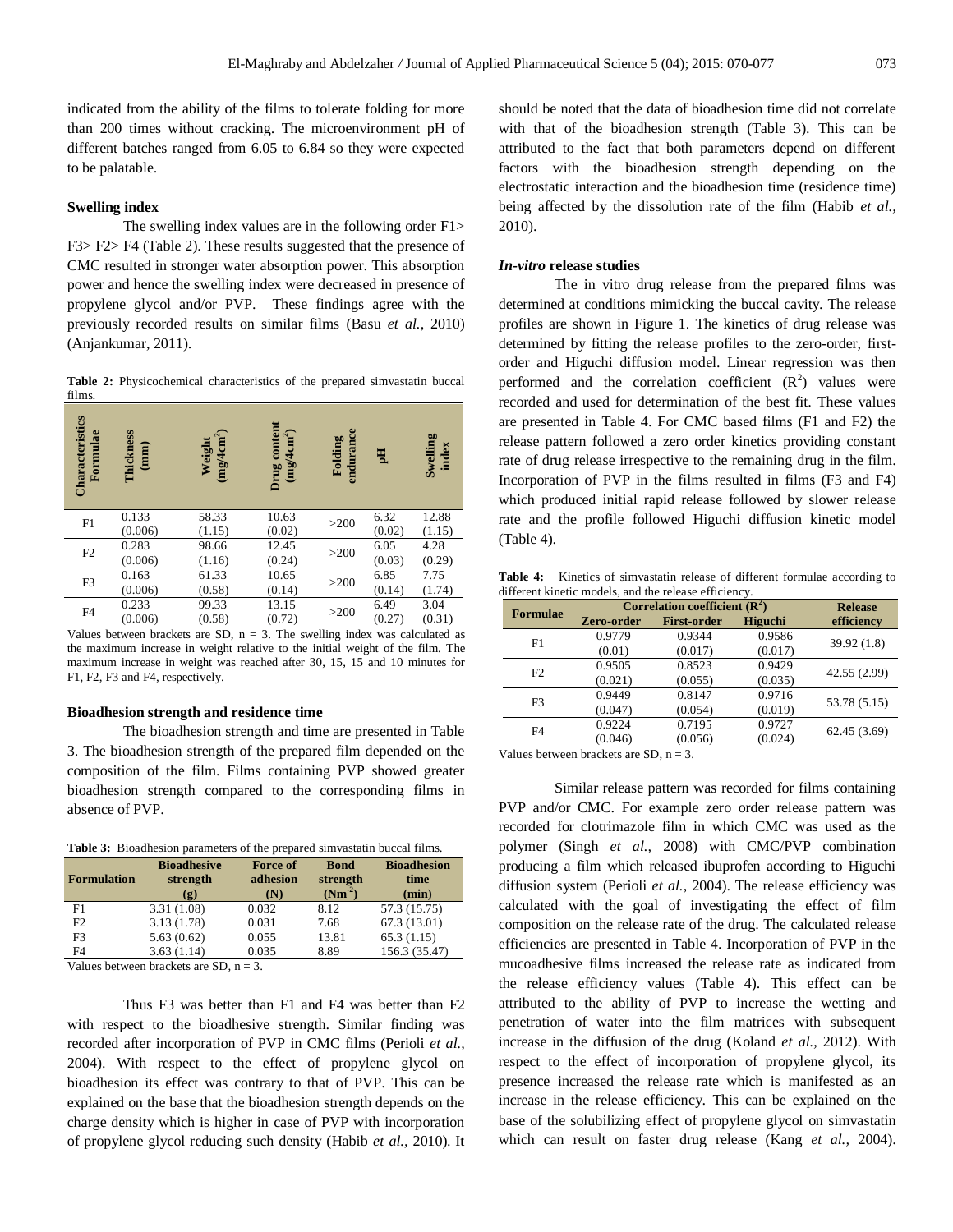indicated from the ability of the films to tolerate folding for more than 200 times without cracking. The microenvironment pH of different batches ranged from 6.05 to 6.84 so they were expected to be palatable.

#### **Swelling index**

The swelling index values are in the following order F1> F3> F2> F4 (Table 2). These results suggested that the presence of CMC resulted in stronger water absorption power. This absorption power and hence the swelling index were decreased in presence of propylene glycol and/or PVP. These findings agree with the previously recorded results on similar films (Basu *et al.,* 2010) (Anjankumar, 2011).

**Table 2:** Physicochemical characteristics of the prepared simvastatin buccal films.

| Characteristics<br>Formulae | Thickness<br>(mm)       | $(mg/4cm^2)$<br>Weight | Drug content<br>$(mg/4cm^2)$ | endurance<br>Folding | 핌      | Swelling<br>index |
|-----------------------------|-------------------------|------------------------|------------------------------|----------------------|--------|-------------------|
| F1                          | 0.133                   | 58.33                  | 10.63                        | >200                 | 6.32   | 12.88             |
|                             | (0.006)                 | (1.15)                 | (0.02)                       |                      | (0.02) | (1.15)            |
| F2                          | 0.283<br>12.45<br>98.66 | >200                   | 6.05                         | 4.28                 |        |                   |
|                             | (0.006)                 | (1.16)                 | (0.24)                       |                      | (0.03) | (0.29)            |
| F <sub>3</sub>              | 0.163                   | 61.33                  | 10.65                        | >200                 | 6.85   | 7.75              |
|                             | (0.006)                 | (0.58)                 | (0.14)                       |                      | (0.14) | (1.74)            |
| F4                          | 0.233                   | 99.33                  | 13.15                        | >200                 | 6.49   | 3.04              |
|                             | (0.006)                 | (0.58)                 | (0.72)                       |                      | (0.27) | (0.31)            |

Values between brackets are SD,  $n = 3$ . The swelling index was calculated as the maximum increase in weight relative to the initial weight of the film. The maximum increase in weight was reached after 30, 15, 15 and 10 minutes for F1, F2, F3 and F4, respectively.

#### **Bioadhesion strength and residence time**

The bioadhesion strength and time are presented in Table 3. The bioadhesion strength of the prepared film depended on the composition of the film. Films containing PVP showed greater bioadhesion strength compared to the corresponding films in absence of PVP.

**Table 3:** Bioadhesion parameters of the prepared simvastatin buccal films.

| <b>Formulation</b> | <b>Bioadhesive</b><br>strength<br>$\left( \mathbf{g}\right)$ | <b>Force of</b><br>adhesion<br>(N) | <b>Bond</b><br>strength<br>$(Nm^2)$ | <b>Bioadhesion</b><br>time<br>(min) |  |
|--------------------|--------------------------------------------------------------|------------------------------------|-------------------------------------|-------------------------------------|--|
| F1                 | 3.31(1.08)                                                   | 0.032                              | 8.12                                | 57.3 (15.75)                        |  |
| F2                 | 3.13(1.78)                                                   | 0.031                              | 7.68                                | 67.3(13.01)                         |  |
| F3                 | 5.63(0.62)                                                   | 0.055                              | 13.81                               | 65.3(1.15)                          |  |
| F4                 | 3.63(1.14)                                                   | 0.035                              | 8.89                                | 156.3 (35.47)                       |  |
|                    |                                                              |                                    |                                     |                                     |  |

Values between brackets are  $SD$ ,  $n = 3$ .

Thus F3 was better than F1 and F4 was better than F2 with respect to the bioadhesive strength. Similar finding was recorded after incorporation of PVP in CMC films (Perioli *et al.,*  2004). With respect to the effect of propylene glycol on bioadhesion its effect was contrary to that of PVP. This can be explained on the base that the bioadhesion strength depends on the charge density which is higher in case of PVP with incorporation of propylene glycol reducing such density (Habib *et al.,* 2010). It should be noted that the data of bioadhesion time did not correlate with that of the bioadhesion strength (Table 3). This can be attributed to the fact that both parameters depend on different factors with the bioadhesion strength depending on the electrostatic interaction and the bioadhesion time (residence time) being affected by the dissolution rate of the film (Habib *et al.,*  2010).

#### *In-vitro* **release studies**

The in vitro drug release from the prepared films was determined at conditions mimicking the buccal cavity. The release profiles are shown in Figure 1. The kinetics of drug release was determined by fitting the release profiles to the zero-order, firstorder and Higuchi diffusion model. Linear regression was then performed and the correlation coefficient  $(R^2)$  values were recorded and used for determination of the best fit. These values are presented in Table 4. For CMC based films (F1 and F2) the release pattern followed a zero order kinetics providing constant rate of drug release irrespective to the remaining drug in the film. Incorporation of PVP in the films resulted in films (F3 and F4) which produced initial rapid release followed by slower release rate and the profile followed Higuchi diffusion kinetic model (Table 4).

Table 4: Kinetics of simvastatin release of different formulae according to different kinetic models, and the release efficiency.

| <b>Formulae</b> | Correlation coefficient $(\mathbb{R}^2)$ | <b>Release</b>     |         |              |
|-----------------|------------------------------------------|--------------------|---------|--------------|
|                 | Zero-order                               | <b>First-order</b> | Higuchi | efficiency   |
| F1              | 0.9779                                   | 0.9344             | 0.9586  | 39.92(1.8)   |
|                 | (0.01)                                   | (0.017)            | (0.017) |              |
| F2              | 0.9505                                   | 0.8523             | 0.9429  | 42.55 (2.99) |
|                 | (0.021)                                  | (0.055)            | (0.035) |              |
| F <sub>3</sub>  | 0.9449                                   | 0.8147             | 0.9716  | 53.78 (5.15) |
|                 | (0.047)                                  | (0.054)            | (0.019) |              |
| F <sub>4</sub>  | 0.9224                                   | 0.7195             | 0.9727  | 62.45 (3.69) |
|                 | (0.046)                                  | (0.056)            | (0.024) |              |

Values between brackets are SD,  $n = 3$ .

Similar release pattern was recorded for films containing PVP and/or CMC. For example zero order release pattern was recorded for clotrimazole film in which CMC was used as the polymer (Singh *et al.,* 2008) with CMC/PVP combination producing a film which released ibuprofen according to Higuchi diffusion system (Perioli *et al.,* 2004). The release efficiency was calculated with the goal of investigating the effect of film composition on the release rate of the drug. The calculated release efficiencies are presented in Table 4. Incorporation of PVP in the mucoadhesive films increased the release rate as indicated from the release efficiency values (Table 4). This effect can be attributed to the ability of PVP to increase the wetting and penetration of water into the film matrices with subsequent increase in the diffusion of the drug (Koland *et al.,* 2012). With respect to the effect of incorporation of propylene glycol, its presence increased the release rate which is manifested as an increase in the release efficiency. This can be explained on the base of the solubilizing effect of propylene glycol on simvastatin which can result on faster drug release (Kang *et al.,* 2004).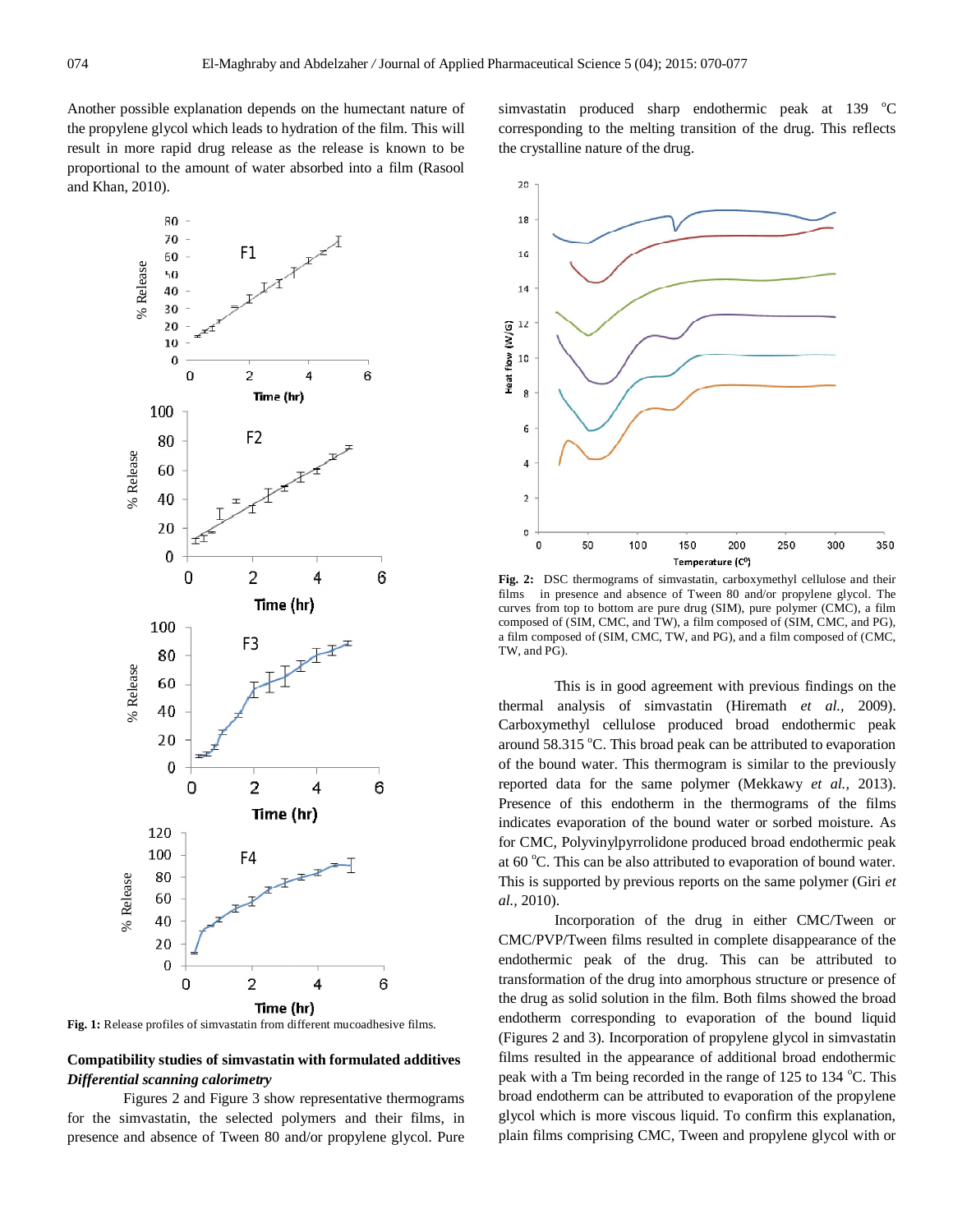Another possible explanation depends on the humectant nature of the propylene glycol which leads to hydration of the film. This will result in more rapid drug release as the release is known to be proportional to the amount of water absorbed into a film (Rasool and Khan, 2010).



**Fig. 1:** Release profiles of simvastatin from different mucoadhesive films.

## **Compatibility studies of simvastatin with formulated additives** *Differential scanning calorimetry*

Figures 2 and Figure 3 show representative thermograms for the simvastatin, the selected polymers and their films, in presence and absence of Tween 80 and/or propylene glycol. Pure

simvastatin produced sharp endothermic peak at  $139\degree$ C corresponding to the melting transition of the drug. This reflects the crystalline nature of the drug.



**Fig. 2:** DSC thermograms of simvastatin, carboxymethyl cellulose and their films in presence and absence of Tween 80 and/or propylene glycol. The curves from top to bottom are pure drug (SIM), pure polymer (CMC), a film composed of (SIM, CMC, and TW), a film composed of (SIM, CMC, and PG), a film composed of (SIM, CMC, TW, and PG), and a film composed of (CMC, TW, and PG).

This is in good agreement with previous findings on the thermal analysis of simvastatin (Hiremath *et al.,* 2009). Carboxymethyl cellulose produced broad endothermic peak around 58.315 °C. This broad peak can be attributed to evaporation of the bound water. This thermogram is similar to the previously reported data for the same polymer (Mekkawy *et al.,* 2013). Presence of this endotherm in the thermograms of the films indicates evaporation of the bound water or sorbed moisture. As for CMC, Polyvinylpyrrolidone produced broad endothermic peak at  $60^{\circ}$ C. This can be also attributed to evaporation of bound water. This is supported by previous reports on the same polymer (Giri *et al.,* 2010).

Incorporation of the drug in either CMC/Tween or CMC/PVP/Tween films resulted in complete disappearance of the endothermic peak of the drug. This can be attributed to transformation of the drug into amorphous structure or presence of the drug as solid solution in the film. Both films showed the broad endotherm corresponding to evaporation of the bound liquid (Figures 2 and 3). Incorporation of propylene glycol in simvastatin films resulted in the appearance of additional broad endothermic peak with a Tm being recorded in the range of 125 to 134 °C. This broad endotherm can be attributed to evaporation of the propylene glycol which is more viscous liquid. To confirm this explanation, plain films comprising CMC, Tween and propylene glycol with or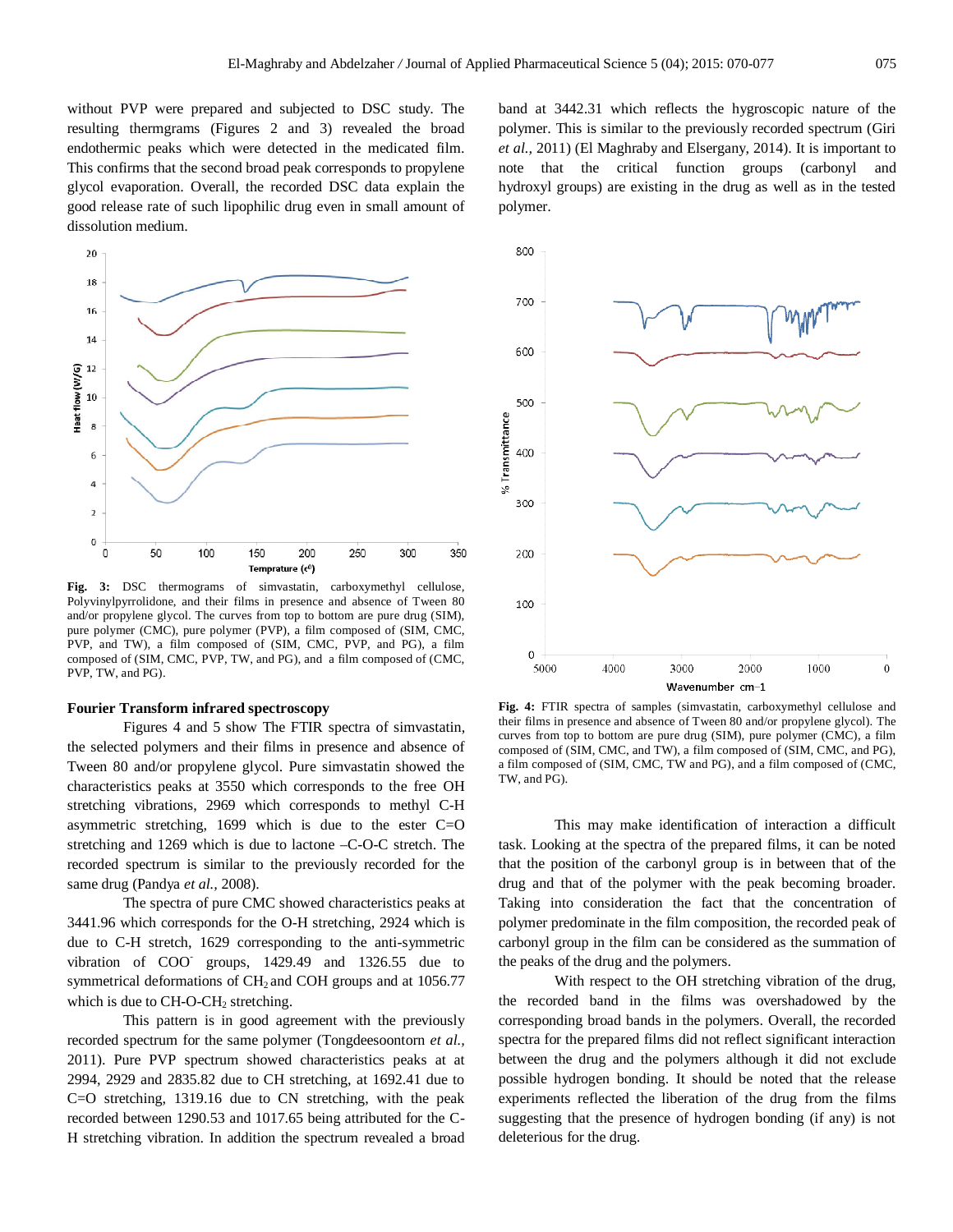without PVP were prepared and subjected to DSC study. The resulting thermgrams (Figures 2 and 3) revealed the broad endothermic peaks which were detected in the medicated film. This confirms that the second broad peak corresponds to propylene glycol evaporation. Overall, the recorded DSC data explain the good release rate of such lipophilic drug even in small amount of dissolution medium.



**Fig. 3:** DSC thermograms of simvastatin, carboxymethyl cellulose, Polyvinylpyrrolidone, and their films in presence and absence of Tween 80 and/or propylene glycol. The curves from top to bottom are pure drug (SIM), pure polymer (CMC), pure polymer (PVP), a film composed of (SIM, CMC, PVP, and TW), a film composed of (SIM, CMC, PVP, and PG), a film composed of (SIM, CMC, PVP, TW, and PG), and a film composed of (CMC, PVP, TW, and PG).

#### **Fourier Transform infrared spectroscopy**

Figures 4 and 5 show The FTIR spectra of simvastatin, the selected polymers and their films in presence and absence of Tween 80 and/or propylene glycol. Pure simvastatin showed the characteristics peaks at 3550 which corresponds to the free OH stretching vibrations, 2969 which corresponds to methyl C-H asymmetric stretching, 1699 which is due to the ester  $C=O$ stretching and 1269 which is due to lactone –C-O-C stretch. The recorded spectrum is similar to the previously recorded for the same drug (Pandya *et al.,* 2008).

The spectra of pure CMC showed characteristics peaks at 3441.96 which corresponds for the O-H stretching, 2924 which is due to C-H stretch, 1629 corresponding to the anti-symmetric vibration of  $COO<sup>-</sup>$  groups,  $1429.49$  and  $1326.55$  due to symmetrical deformations of  $CH<sub>2</sub>$  and COH groups and at 1056.77 which is due to  $CH-O-CH<sub>2</sub>$  stretching.

This pattern is in good agreement with the previously recorded spectrum for the same polymer (Tongdeesoontorn *et al.,*  2011). Pure PVP spectrum showed characteristics peaks at at 2994, 2929 and 2835.82 due to CH stretching, at 1692.41 due to C=O stretching, 1319.16 due to CN stretching, with the peak recorded between 1290.53 and 1017.65 being attributed for the C-H stretching vibration. In addition the spectrum revealed a broad

band at 3442.31 which reflects the hygroscopic nature of the polymer. This is similar to the previously recorded spectrum (Giri *et al.,* 2011) (El Maghraby and Elsergany, 2014). It is important to note that the critical function groups (carbonyl and hydroxyl groups) are existing in the drug as well as in the tested polymer.



**Fig. 4:** FTIR spectra of samples (simvastatin, carboxymethyl cellulose and their films in presence and absence of Tween 80 and/or propylene glycol). The curves from top to bottom are pure drug (SIM), pure polymer (CMC), a film composed of (SIM, CMC, and TW), a film composed of (SIM, CMC, and PG), a film composed of (SIM, CMC, TW and PG), and a film composed of (CMC, TW, and PG).

This may make identification of interaction a difficult task. Looking at the spectra of the prepared films, it can be noted that the position of the carbonyl group is in between that of the drug and that of the polymer with the peak becoming broader. Taking into consideration the fact that the concentration of polymer predominate in the film composition, the recorded peak of carbonyl group in the film can be considered as the summation of the peaks of the drug and the polymers.

With respect to the OH stretching vibration of the drug, the recorded band in the films was overshadowed by the corresponding broad bands in the polymers. Overall, the recorded spectra for the prepared films did not reflect significant interaction between the drug and the polymers although it did not exclude possible hydrogen bonding. It should be noted that the release experiments reflected the liberation of the drug from the films suggesting that the presence of hydrogen bonding (if any) is not deleterious for the drug.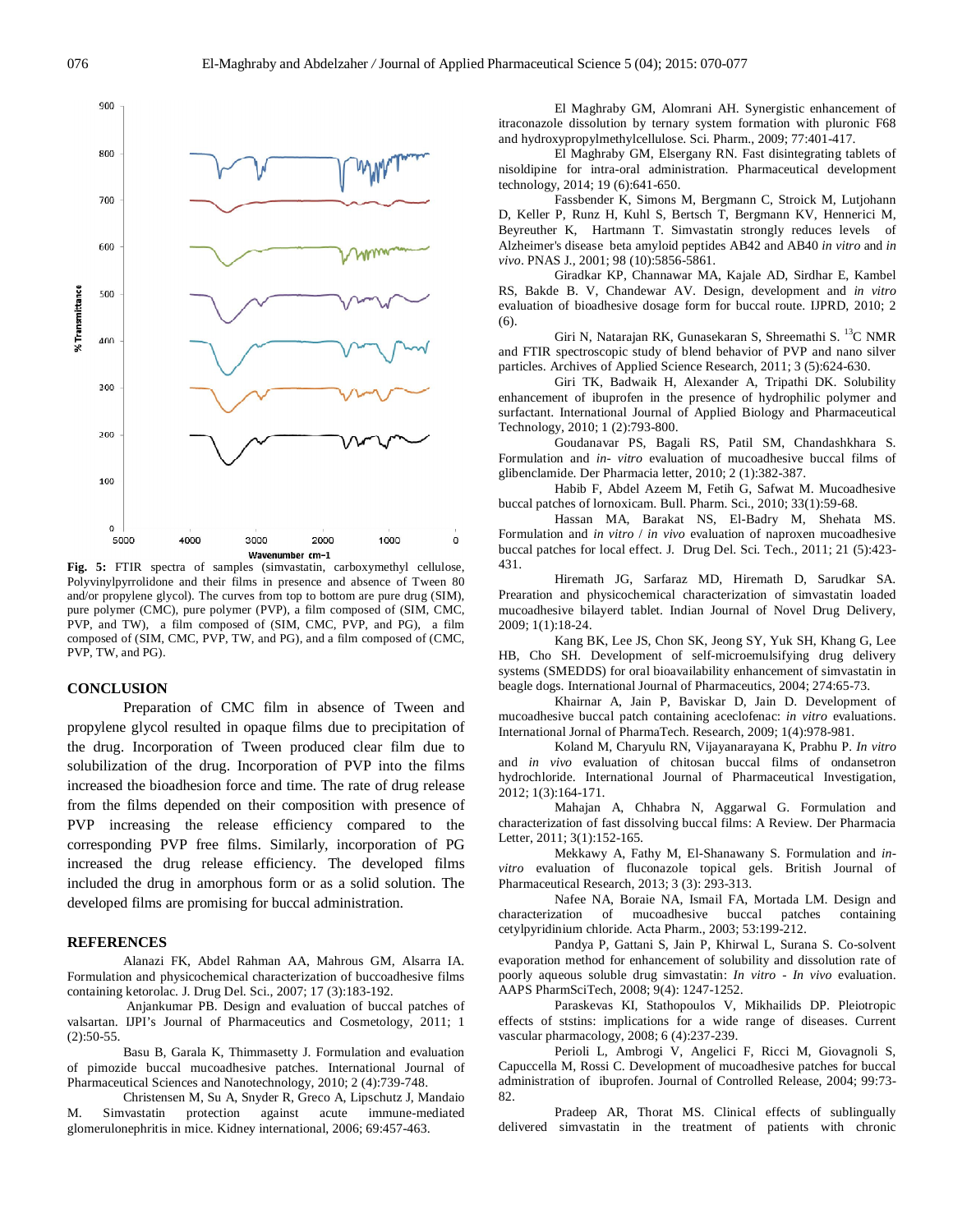

**Fig. 5:** FTIR spectra of samples (simvastatin, carboxymethyl cellulose, Polyvinylpyrrolidone and their films in presence and absence of Tween 80 and/or propylene glycol). The curves from top to bottom are pure drug (SIM), pure polymer (CMC), pure polymer (PVP), a film composed of (SIM, CMC, PVP, and TW), a film composed of (SIM, CMC, PVP, and PG), a film composed of (SIM, CMC, PVP, TW, and PG), and a film composed of (CMC, PVP, TW, and PG).

#### **CONCLUSION**

Preparation of CMC film in absence of Tween and propylene glycol resulted in opaque films due to precipitation of the drug. Incorporation of Tween produced clear film due to solubilization of the drug. Incorporation of PVP into the films increased the bioadhesion force and time. The rate of drug release from the films depended on their composition with presence of PVP increasing the release efficiency compared to the corresponding PVP free films. Similarly, incorporation of PG increased the drug release efficiency. The developed films included the drug in amorphous form or as a solid solution. The developed films are promising for buccal administration.

## **REFERENCES**

Alanazi FK, Abdel Rahman AA, Mahrous GM, Alsarra IA. Formulation and physicochemical characterization of buccoadhesive films containing ketorolac. J. Drug Del. Sci., 2007; 17 (3):183-192.

Anjankumar PB. Design and evaluation of buccal patches of valsartan. IJPI's Journal of Pharmaceutics and Cosmetology, 2011; 1  $(2):50-55.$ 

Basu B, Garala K, Thimmasetty J. Formulation and evaluation of pimozide buccal mucoadhesive patches. International Journal of Pharmaceutical Sciences and Nanotechnology, 2010; 2 (4):739-748.

Christensen M, Su A, Snyder R, Greco A, Lipschutz J, Mandaio M. Simvastatin protection against acute immune-mediated glomerulonephritis in mice. Kidney international, 2006; 69:457-463.

El Maghraby GM, Alomrani AH. Synergistic enhancement of itraconazole dissolution by ternary system formation with pluronic F68 and hydroxypropylmethylcellulose. Sci. Pharm., 2009; 77:401-417.

El Maghraby GM, Elsergany RN. Fast disintegrating tablets of nisoldipine for intra-oral administration. Pharmaceutical development technology, 2014; 19 (6):641-650.

Fassbender K, Simons M, Bergmann C, Stroick M, Lutjohann D, Keller P, Runz H, Kuhl S, Bertsch T, Bergmann KV, Hennerici M, Beyreuther K, Hartmann T. Simvastatin strongly reduces levels of Alzheimer's disease beta amyloid peptides AB42 and AB40 *in vitro* and *in vivo*. PNAS J., 2001; 98 (10):5856-5861.

Giradkar KP, Channawar MA, Kajale AD, Sirdhar E, Kambel RS, Bakde B. V, Chandewar AV. Design, development and *in vitro*  evaluation of bioadhesive dosage form for buccal route. IJPRD, 2010; 2 (6).

Giri N, Natarajan RK, Gunasekaran S, Shreemathi S. <sup>13</sup>C NMR and FTIR spectroscopic study of blend behavior of PVP and nano silver particles. Archives of Applied Science Research, 2011; 3 (5):624-630.

Giri TK, Badwaik H, Alexander A, Tripathi DK. Solubility enhancement of ibuprofen in the presence of hydrophilic polymer and surfactant. International Journal of Applied Biology and Pharmaceutical Technology, 2010; 1 (2):793-800.

Goudanavar PS, Bagali RS, Patil SM, Chandashkhara S. Formulation and *in- vitro* evaluation of mucoadhesive buccal films of glibenclamide. Der Pharmacia letter, 2010; 2 (1):382-387.

Habib F, Abdel Azeem M, Fetih G, Safwat M. Mucoadhesive buccal patches of lornoxicam. Bull. Pharm. Sci., 2010; 33(1):59-68.

Hassan MA, Barakat NS, El-Badry M, Shehata MS. Formulation and *in vitro* / *in vivo* evaluation of naproxen mucoadhesive buccal patches for local effect. J. Drug Del. Sci. Tech., 2011; 21 (5):423- 431.

Hiremath JG, Sarfaraz MD, Hiremath D, Sarudkar SA. Prearation and physicochemical characterization of simvastatin loaded mucoadhesive bilayerd tablet. Indian Journal of Novel Drug Delivery, 2009; 1(1):18-24.

Kang BK, Lee JS, Chon SK, Jeong SY, Yuk SH, Khang G, Lee HB, Cho SH. Development of self-microemulsifying drug delivery systems (SMEDDS) for oral bioavailability enhancement of simvastatin in beagle dogs. International Journal of Pharmaceutics, 2004; 274:65-73.

Khairnar A, Jain P, Baviskar D, Jain D. Development of mucoadhesive buccal patch containing aceclofenac: *in vitro* evaluations. International Jornal of PharmaTech. Research, 2009; 1(4):978-981.

Koland M, Charyulu RN, Vijayanarayana K, Prabhu P*. In vitro* and *in vivo* evaluation of chitosan buccal films of ondansetron hydrochloride. International Journal of Pharmaceutical Investigation, 2012; 1(3):164-171.

Mahajan A, Chhabra N, Aggarwal G. Formulation and characterization of fast dissolving buccal films: A Review. Der Pharmacia Letter, 2011; 3(1):152-165.

Mekkawy A, Fathy M, El-Shanawany S. Formulation and *invitro* evaluation of fluconazole topical gels. British Journal of Pharmaceutical Research, 2013; 3 (3): 293-313.

Nafee NA, Boraie NA, Ismail FA, Mortada LM. Design and characterization of mucoadhesive buccal patches containing cetylpyridinium chloride. Acta Pharm., 2003; 53:199-212.

Pandya P, Gattani S, Jain P, Khirwal L, Surana S. Co-solvent evaporation method for enhancement of solubility and dissolution rate of poorly aqueous soluble drug simvastatin: *In vitro* - *In vivo* evaluation. AAPS PharmSciTech, 2008; 9(4): 1247-1252.

Paraskevas KI, Stathopoulos V, Mikhailids DP. Pleiotropic effects of ststins: implications for a wide range of diseases. Current vascular pharmacology, 2008; 6 (4):237-239.

Perioli L, Ambrogi V, Angelici F, Ricci M, Giovagnoli S, Capuccella M, Rossi C. Development of mucoadhesive patches for buccal administration of ibuprofen. Journal of Controlled Release, 2004; 99:73- 82.

Pradeep AR, Thorat MS. Clinical effects of sublingually delivered simvastatin in the treatment of patients with chronic